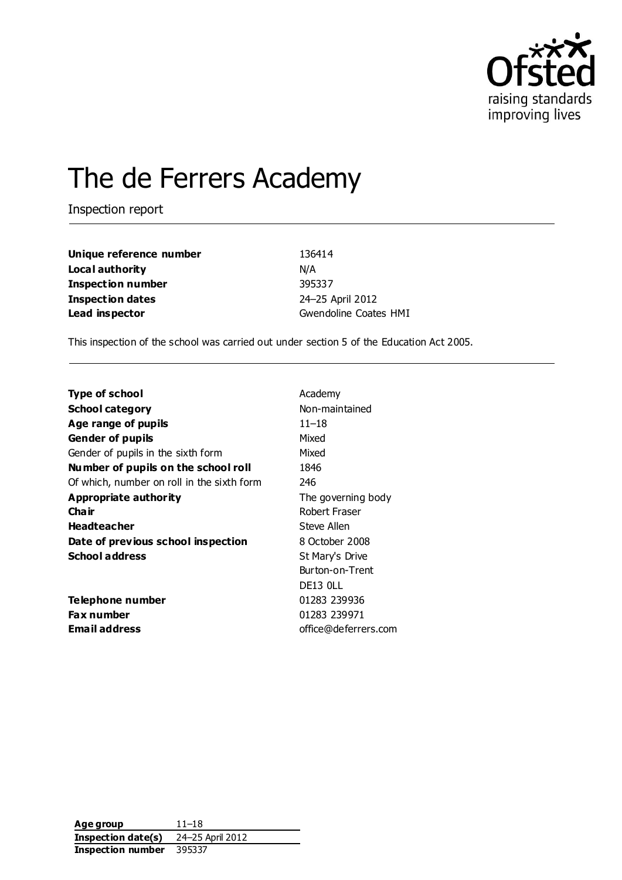

# The de Ferrers Academy

Inspection report

**Unique reference number** 136414 **Local authority** N/A **Inspection number** 395337 **Inspection dates** 24–25 April 2012 **Lead inspector** Gwendoline Coates HMI

This inspection of the school was carried out under section 5 of the Education Act 2005.

| Academy              |  |  |
|----------------------|--|--|
| Non-maintained       |  |  |
| $11 - 18$            |  |  |
| Mixed                |  |  |
| Mixed                |  |  |
| 1846                 |  |  |
| 246                  |  |  |
| The governing body   |  |  |
| Robert Fraser        |  |  |
| Steve Allen          |  |  |
| 8 October 2008       |  |  |
| St Mary's Drive      |  |  |
| Burton-on-Trent      |  |  |
| DE13 OLL             |  |  |
| 01283 239936         |  |  |
| 01283 239971         |  |  |
| office@deferrers.com |  |  |
|                      |  |  |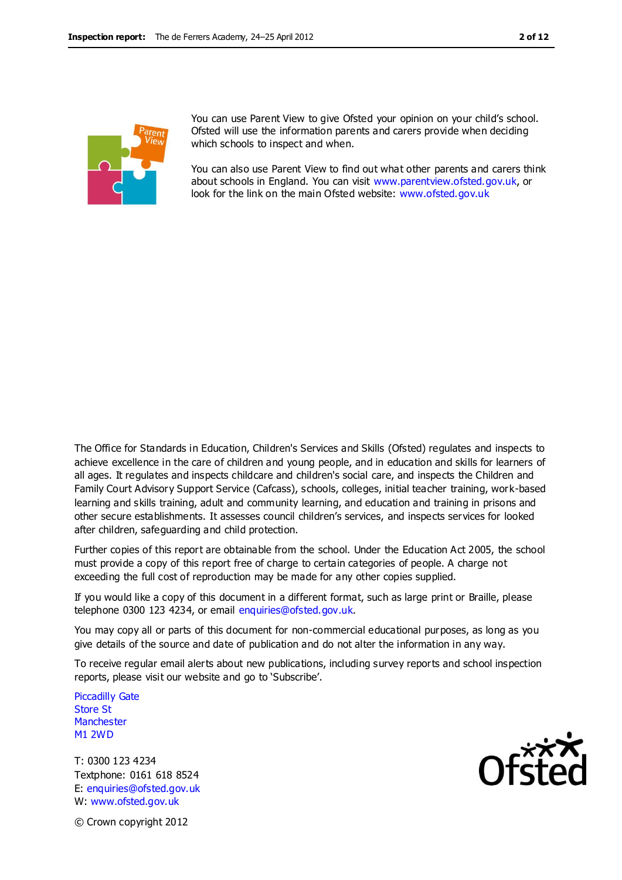

You can use Parent View to give Ofsted your opinion on your child's school. Ofsted will use the information parents and carers provide when deciding which schools to inspect and when.

You can also use Parent View to find out what other parents and carers think about schools in England. You can visit [www.parentview.ofsted.gov.uk,](http://www.parentview.ofsted.gov.uk/) or look for the link on the main Ofsted website: [www.ofsted.gov.uk](http://www.ofsted.gov.uk/)

The Office for Standards in Education, Children's Services and Skills (Ofsted) regulates and inspects to achieve excellence in the care of children and young people, and in education and skills for learners of all ages. It regulates and inspects childcare and children's social care, and inspects the Children and Family Court Advisory Support Service (Cafcass), schools, colleges, initial teacher training, work-based learning and skills training, adult and community learning, and education and training in prisons and other secure establishments. It assesses council children's services, and inspects services for looked after children, safeguarding and child protection.

Further copies of this report are obtainable from the school. Under the Education Act 2005, the school must provide a copy of this report free of charge to certain categories of people. A charge not exceeding the full cost of reproduction may be made for any other copies supplied.

If you would like a copy of this document in a different format, such as large print or Braille, please telephone 0300 123 4234, or email enquiries@ofsted.gov.uk.

You may copy all or parts of this document for non-commercial educational purposes, as long as you give details of the source and date of publication and do not alter the information in any way.

To receive regular email alerts about new publications, including survey reports and school inspection reports, please visit our website and go to 'Subscribe'.

Piccadilly Gate Store St **Manchester** M1 2WD

T: 0300 123 4234 Textphone: 0161 618 8524 E: enquiries@ofsted.gov.uk W: www.ofsted.gov.uk



© Crown copyright 2012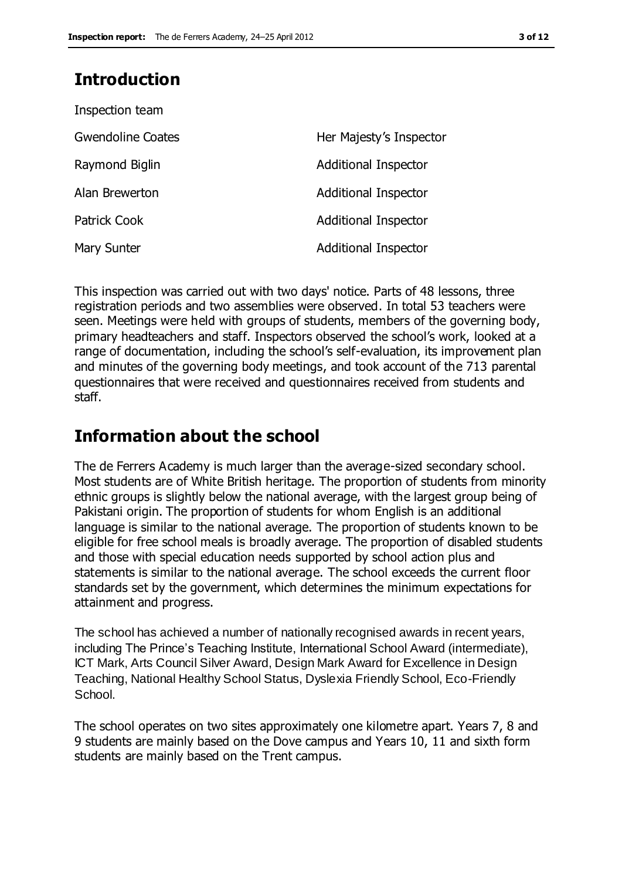### **Introduction**

| Inspection team          |                             |
|--------------------------|-----------------------------|
| <b>Gwendoline Coates</b> | Her Majesty's Inspector     |
| Raymond Biglin           | Additional Inspector        |
| Alan Brewerton           | Additional Inspector        |
| <b>Patrick Cook</b>      | <b>Additional Inspector</b> |
| Mary Sunter              | <b>Additional Inspector</b> |

This inspection was carried out with two days' notice. Parts of 48 lessons, three registration periods and two assemblies were observed. In total 53 teachers were seen. Meetings were held with groups of students, members of the governing body, primary headteachers and staff. Inspectors observed the school's work, looked at a range of documentation, including the school's self-evaluation, its improvement plan and minutes of the governing body meetings, and took account of the 713 parental questionnaires that were received and questionnaires received from students and staff.

### **Information about the school**

The de Ferrers Academy is much larger than the average-sized secondary school. Most students are of White British heritage. The proportion of students from minority ethnic groups is slightly below the national average, with the largest group being of Pakistani origin. The proportion of students for whom English is an additional language is similar to the national average. The proportion of students known to be eligible for free school meals is broadly average. The proportion of disabled students and those with special education needs supported by school action plus and statements is similar to the national average. The school exceeds the current floor standards set by the government, which determines the minimum expectations for attainment and progress.

The school has achieved a number of nationally recognised awards in recent years, including The Prince's Teaching Institute, International School Award (intermediate), ICT Mark, Arts Council Silver Award, Design Mark Award for Excellence in Design Teaching, National Healthy School Status, Dyslexia Friendly School, Eco-Friendly School.

The school operates on two sites approximately one kilometre apart. Years 7, 8 and 9 students are mainly based on the Dove campus and Years 10, 11 and sixth form students are mainly based on the Trent campus.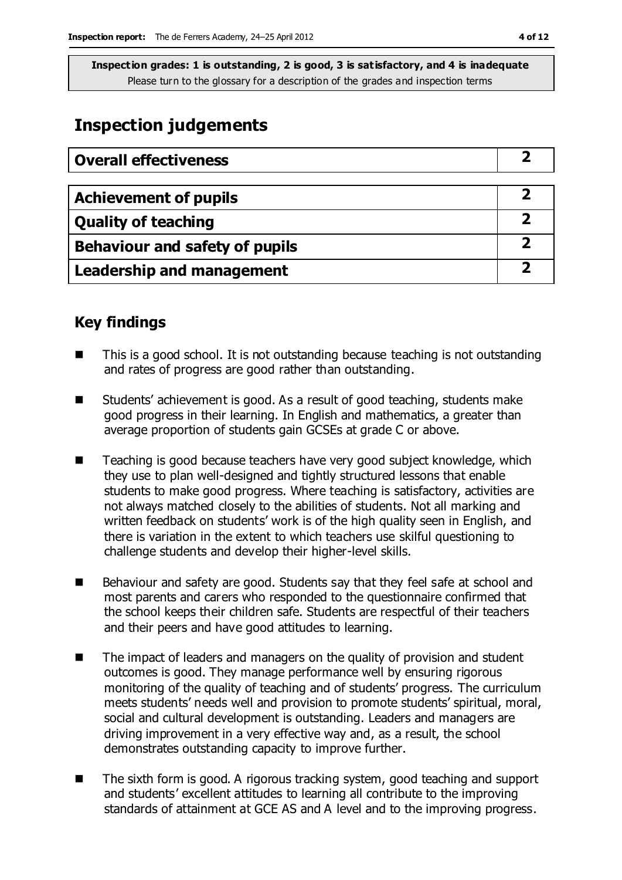### **Inspection judgements**

| <b>Overall effectiveness</b>   |  |
|--------------------------------|--|
|                                |  |
| <b>Achievement of pupils</b>   |  |
| <b>Quality of teaching</b>     |  |
| Behaviour and safety of pupils |  |
| Leadership and management      |  |

### **Key findings**

- This is a good school. It is not outstanding because teaching is not outstanding and rates of progress are good rather than outstanding.
- Students' achievement is good. As a result of good teaching, students make good progress in their learning. In English and mathematics, a greater than average proportion of students gain GCSEs at grade C or above.
- Teaching is good because teachers have very good subject knowledge, which they use to plan well-designed and tightly structured lessons that enable students to make good progress. Where teaching is satisfactory, activities are not always matched closely to the abilities of students. Not all marking and written feedback on students' work is of the high quality seen in English, and there is variation in the extent to which teachers use skilful questioning to challenge students and develop their higher-level skills.
- Behaviour and safety are good. Students say that they feel safe at school and most parents and carers who responded to the questionnaire confirmed that the school keeps their children safe. Students are respectful of their teachers and their peers and have good attitudes to learning.
- The impact of leaders and managers on the quality of provision and student outcomes is good. They manage performance well by ensuring rigorous monitoring of the quality of teaching and of students' progress. The curriculum meets students' needs well and provision to promote students' spiritual, moral, social and cultural development is outstanding. Leaders and managers are driving improvement in a very effective way and, as a result, the school demonstrates outstanding capacity to improve further.
- The sixth form is good. A rigorous tracking system, good teaching and support and students' excellent attitudes to learning all contribute to the improving standards of attainment at GCE AS and A level and to the improving progress.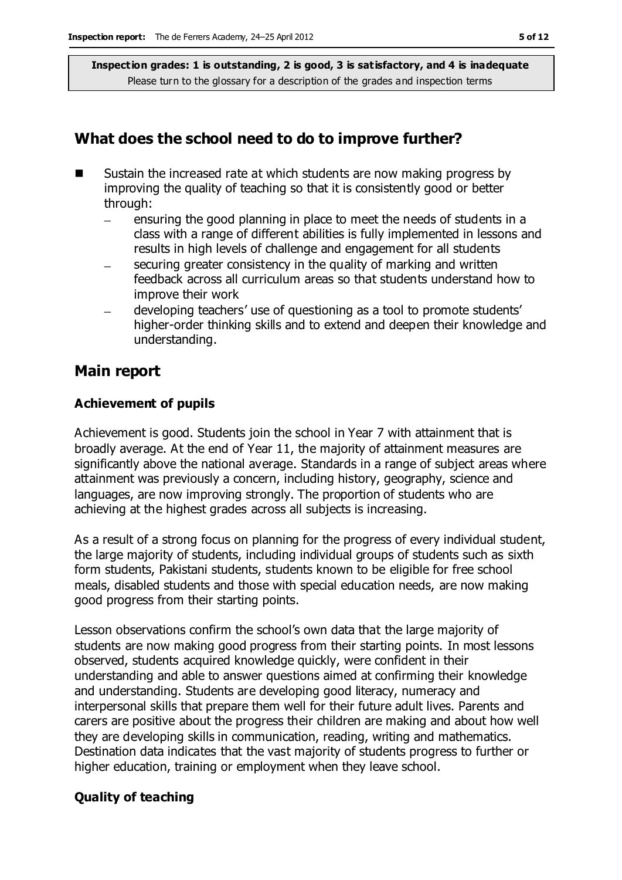### **What does the school need to do to improve further?**

- $\blacksquare$  Sustain the increased rate at which students are now making progress by improving the quality of teaching so that it is consistently good or better through:
	- ensuring the good planning in place to meet the needs of students in a  $\equiv$ class with a range of different abilities is fully implemented in lessons and results in high levels of challenge and engagement for all students
	- securing greater consistency in the quality of marking and written feedback across all curriculum areas so that students understand how to improve their work
	- developing teachers' use of questioning as a tool to promote students' higher-order thinking skills and to extend and deepen their knowledge and understanding.

### **Main report**

### **Achievement of pupils**

Achievement is good. Students join the school in Year 7 with attainment that is broadly average. At the end of Year 11, the majority of attainment measures are significantly above the national average. Standards in a range of subject areas where attainment was previously a concern, including history, geography, science and languages, are now improving strongly. The proportion of students who are achieving at the highest grades across all subjects is increasing.

As a result of a strong focus on planning for the progress of every individual student, the large majority of students, including individual groups of students such as sixth form students, Pakistani students, students known to be eligible for free school meals, disabled students and those with special education needs, are now making good progress from their starting points.

Lesson observations confirm the school's own data that the large majority of students are now making good progress from their starting points. In most lessons observed, students acquired knowledge quickly, were confident in their understanding and able to answer questions aimed at confirming their knowledge and understanding. Students are developing good literacy, numeracy and interpersonal skills that prepare them well for their future adult lives. Parents and carers are positive about the progress their children are making and about how well they are developing skills in communication, reading, writing and mathematics. Destination data indicates that the vast majority of students progress to further or higher education, training or employment when they leave school.

### **Quality of teaching**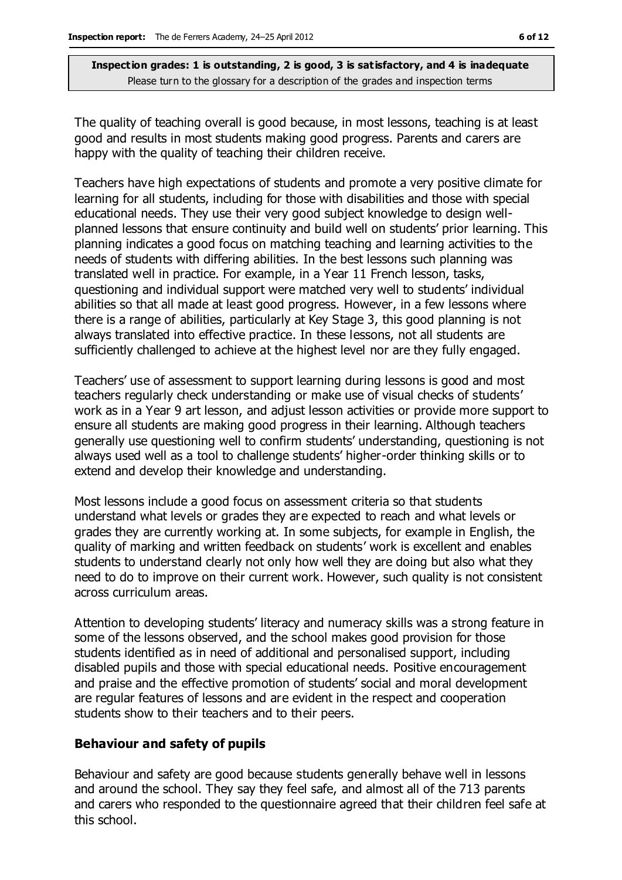The quality of teaching overall is good because, in most lessons, teaching is at least good and results in most students making good progress. Parents and carers are happy with the quality of teaching their children receive.

Teachers have high expectations of students and promote a very positive climate for learning for all students, including for those with disabilities and those with special educational needs. They use their very good subject knowledge to design wellplanned lessons that ensure continuity and build well on students' prior learning. This planning indicates a good focus on matching teaching and learning activities to the needs of students with differing abilities. In the best lessons such planning was translated well in practice. For example, in a Year 11 French lesson, tasks, questioning and individual support were matched very well to students' individual abilities so that all made at least good progress. However, in a few lessons where there is a range of abilities, particularly at Key Stage 3, this good planning is not always translated into effective practice. In these lessons, not all students are sufficiently challenged to achieve at the highest level nor are they fully engaged.

Teachers' use of assessment to support learning during lessons is good and most teachers regularly check understanding or make use of visual checks of students' work as in a Year 9 art lesson, and adjust lesson activities or provide more support to ensure all students are making good progress in their learning. Although teachers generally use questioning well to confirm students' understanding, questioning is not always used well as a tool to challenge students' higher-order thinking skills or to extend and develop their knowledge and understanding.

Most lessons include a good focus on assessment criteria so that students understand what levels or grades they are expected to reach and what levels or grades they are currently working at. In some subjects, for example in English, the quality of marking and written feedback on students' work is excellent and enables students to understand clearly not only how well they are doing but also what they need to do to improve on their current work. However, such quality is not consistent across curriculum areas.

Attention to developing students' literacy and numeracy skills was a strong feature in some of the lessons observed, and the school makes good provision for those students identified as in need of additional and personalised support, including disabled pupils and those with special educational needs. Positive encouragement and praise and the effective promotion of students' social and moral development are regular features of lessons and are evident in the respect and cooperation students show to their teachers and to their peers.

#### **Behaviour and safety of pupils**

Behaviour and safety are good because students generally behave well in lessons and around the school. They say they feel safe, and almost all of the 713 parents and carers who responded to the questionnaire agreed that their children feel safe at this school.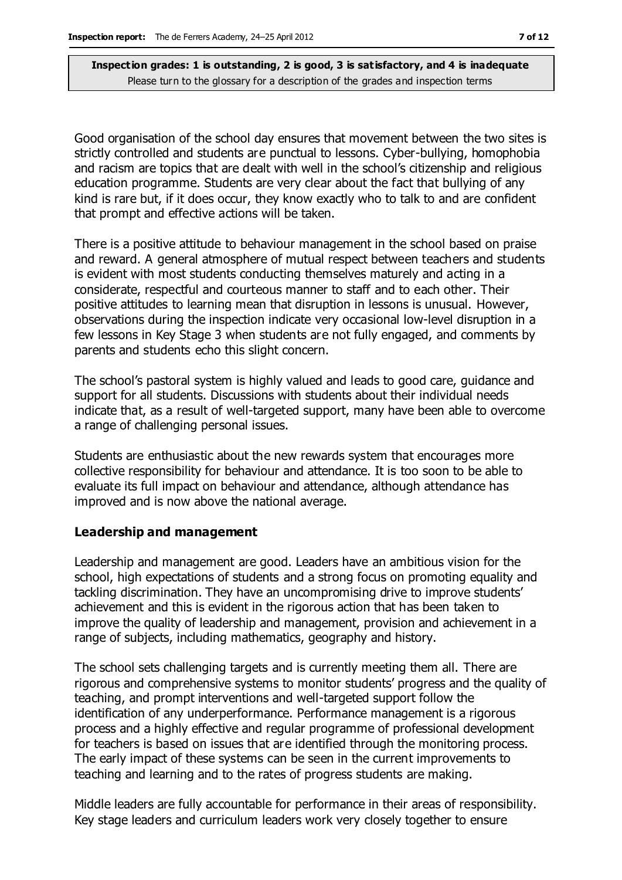Good organisation of the school day ensures that movement between the two sites is strictly controlled and students are punctual to lessons. Cyber-bullying, homophobia and racism are topics that are dealt with well in the school's citizenship and religious education programme. Students are very clear about the fact that bullying of any kind is rare but, if it does occur, they know exactly who to talk to and are confident that prompt and effective actions will be taken.

There is a positive attitude to behaviour management in the school based on praise and reward. A general atmosphere of mutual respect between teachers and students is evident with most students conducting themselves maturely and acting in a considerate, respectful and courteous manner to staff and to each other. Their positive attitudes to learning mean that disruption in lessons is unusual. However, observations during the inspection indicate very occasional low-level disruption in a few lessons in Key Stage 3 when students are not fully engaged, and comments by parents and students echo this slight concern.

The school's pastoral system is highly valued and leads to good care, guidance and support for all students. Discussions with students about their individual needs indicate that, as a result of well-targeted support, many have been able to overcome a range of challenging personal issues.

Students are enthusiastic about the new rewards system that encourages more collective responsibility for behaviour and attendance. It is too soon to be able to evaluate its full impact on behaviour and attendance, although attendance has improved and is now above the national average.

#### **Leadership and management**

Leadership and management are good. Leaders have an ambitious vision for the school, high expectations of students and a strong focus on promoting equality and tackling discrimination. They have an uncompromising drive to improve students' achievement and this is evident in the rigorous action that has been taken to improve the quality of leadership and management, provision and achievement in a range of subjects, including mathematics, geography and history.

The school sets challenging targets and is currently meeting them all. There are rigorous and comprehensive systems to monitor students' progress and the quality of teaching, and prompt interventions and well-targeted support follow the identification of any underperformance. Performance management is a rigorous process and a highly effective and regular programme of professional development for teachers is based on issues that are identified through the monitoring process. The early impact of these systems can be seen in the current improvements to teaching and learning and to the rates of progress students are making.

Middle leaders are fully accountable for performance in their areas of responsibility. Key stage leaders and curriculum leaders work very closely together to ensure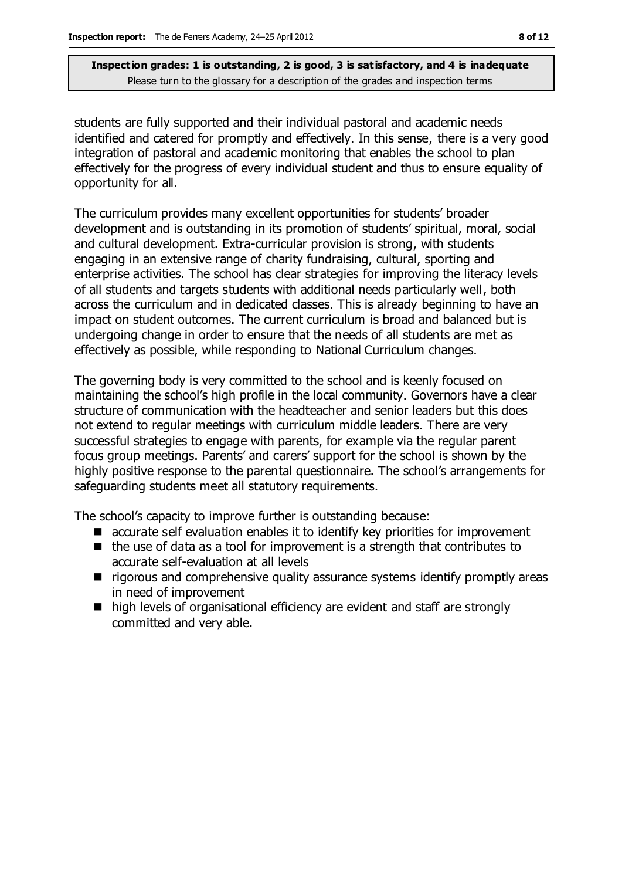students are fully supported and their individual pastoral and academic needs identified and catered for promptly and effectively. In this sense, there is a very good integration of pastoral and academic monitoring that enables the school to plan effectively for the progress of every individual student and thus to ensure equality of opportunity for all.

The curriculum provides many excellent opportunities for students' broader development and is outstanding in its promotion of students' spiritual, moral, social and cultural development. Extra-curricular provision is strong, with students engaging in an extensive range of charity fundraising, cultural, sporting and enterprise activities. The school has clear strategies for improving the literacy levels of all students and targets students with additional needs particularly well, both across the curriculum and in dedicated classes. This is already beginning to have an impact on student outcomes. The current curriculum is broad and balanced but is undergoing change in order to ensure that the needs of all students are met as effectively as possible, while responding to National Curriculum changes.

The governing body is very committed to the school and is keenly focused on maintaining the school's high profile in the local community. Governors have a clear structure of communication with the headteacher and senior leaders but this does not extend to regular meetings with curriculum middle leaders. There are very successful strategies to engage with parents, for example via the regular parent focus group meetings. Parents' and carers' support for the school is shown by the highly positive response to the parental questionnaire. The school's arrangements for safeguarding students meet all statutory requirements.

The school's capacity to improve further is outstanding because:

- accurate self evaluation enables it to identify key priorities for improvement
- $\blacksquare$  the use of data as a tool for improvement is a strength that contributes to accurate self-evaluation at all levels
- **T** rigorous and comprehensive quality assurance systems identify promptly areas in need of improvement
- high levels of organisational efficiency are evident and staff are strongly committed and very able.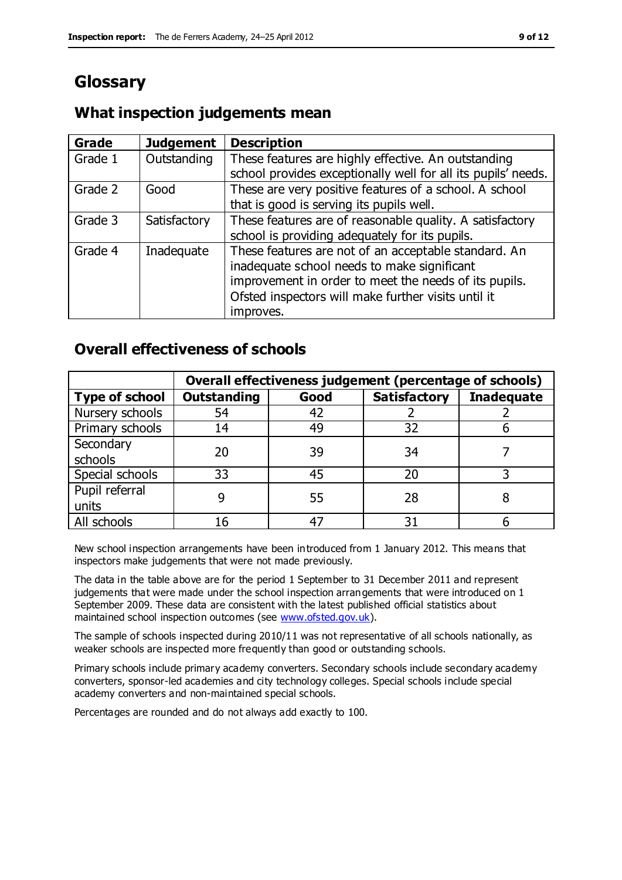### **Glossary**

### **What inspection judgements mean**

| Grade   | <b>Judgement</b> | <b>Description</b>                                            |
|---------|------------------|---------------------------------------------------------------|
| Grade 1 | Outstanding      | These features are highly effective. An outstanding           |
|         |                  | school provides exceptionally well for all its pupils' needs. |
| Grade 2 | Good             | These are very positive features of a school. A school        |
|         |                  | that is good is serving its pupils well.                      |
| Grade 3 | Satisfactory     | These features are of reasonable quality. A satisfactory      |
|         |                  | school is providing adequately for its pupils.                |
| Grade 4 | Inadequate       | These features are not of an acceptable standard. An          |
|         |                  | inadequate school needs to make significant                   |
|         |                  | improvement in order to meet the needs of its pupils.         |
|         |                  | Ofsted inspectors will make further visits until it           |
|         |                  | improves.                                                     |

### **Overall effectiveness of schools**

|                       | Overall effectiveness judgement (percentage of schools) |      |                     |                   |
|-----------------------|---------------------------------------------------------|------|---------------------|-------------------|
| <b>Type of school</b> | <b>Outstanding</b>                                      | Good | <b>Satisfactory</b> | <b>Inadequate</b> |
| Nursery schools       | 54                                                      | 42   |                     |                   |
| Primary schools       | 14                                                      | 49   | 32                  |                   |
| Secondary             | 20                                                      | 39   | 34                  |                   |
| schools               |                                                         |      |                     |                   |
| Special schools       | 33                                                      | 45   | 20                  |                   |
| Pupil referral        |                                                         | 55   | 28                  |                   |
| units                 |                                                         |      |                     |                   |
| All schools           | 16                                                      | 47   | 31                  |                   |

New school inspection arrangements have been introduced from 1 January 2012. This means that inspectors make judgements that were not made previously.

The data in the table above are for the period 1 September to 31 December 2011 and represent judgements that were made under the school inspection arrangements that were introduced on 1 September 2009. These data are consistent with the latest published official statistics about maintained school inspection outcomes (see [www.ofsted.gov.uk\)](http://www.ofsted.gov.uk/).

The sample of schools inspected during 2010/11 was not representative of all schools nationally, as weaker schools are inspected more frequently than good or outstanding schools.

Primary schools include primary academy converters. Secondary schools include secondary academy converters, sponsor-led academies and city technology colleges. Special schools include special academy converters and non-maintained special schools.

Percentages are rounded and do not always add exactly to 100.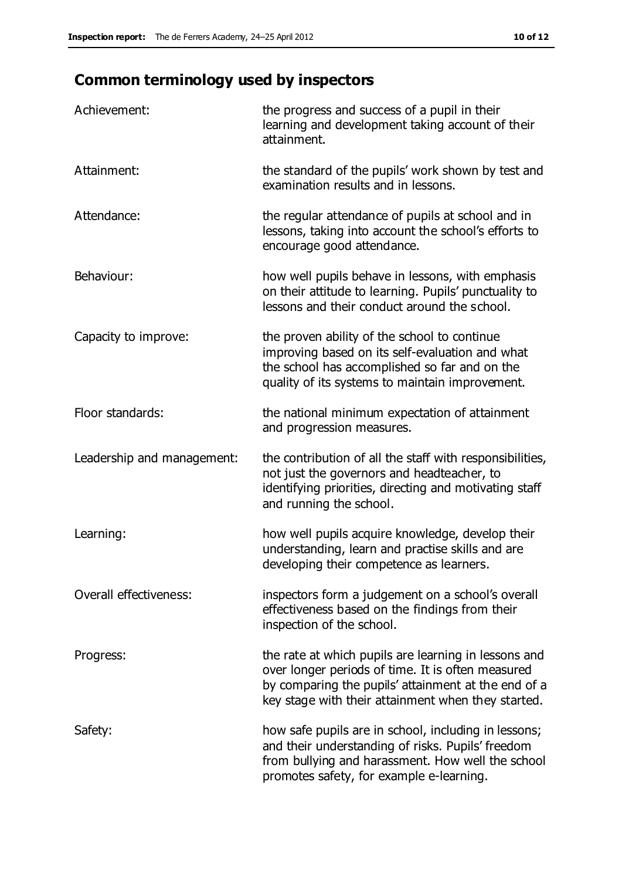## **Common terminology used by inspectors**

| Achievement:                  | the progress and success of a pupil in their<br>learning and development taking account of their<br>attainment.                                                                                                        |
|-------------------------------|------------------------------------------------------------------------------------------------------------------------------------------------------------------------------------------------------------------------|
| Attainment:                   | the standard of the pupils' work shown by test and<br>examination results and in lessons.                                                                                                                              |
| Attendance:                   | the regular attendance of pupils at school and in<br>lessons, taking into account the school's efforts to<br>encourage good attendance.                                                                                |
| Behaviour:                    | how well pupils behave in lessons, with emphasis<br>on their attitude to learning. Pupils' punctuality to<br>lessons and their conduct around the school.                                                              |
| Capacity to improve:          | the proven ability of the school to continue<br>improving based on its self-evaluation and what<br>the school has accomplished so far and on the<br>quality of its systems to maintain improvement.                    |
| Floor standards:              | the national minimum expectation of attainment<br>and progression measures.                                                                                                                                            |
| Leadership and management:    | the contribution of all the staff with responsibilities,<br>not just the governors and headteacher, to<br>identifying priorities, directing and motivating staff<br>and running the school.                            |
| Learning:                     | how well pupils acquire knowledge, develop their<br>understanding, learn and practise skills and are<br>developing their competence as learners.                                                                       |
| <b>Overall effectiveness:</b> | inspectors form a judgement on a school's overall<br>effectiveness based on the findings from their<br>inspection of the school.                                                                                       |
| Progress:                     | the rate at which pupils are learning in lessons and<br>over longer periods of time. It is often measured<br>by comparing the pupils' attainment at the end of a<br>key stage with their attainment when they started. |
| Safety:                       | how safe pupils are in school, including in lessons;<br>and their understanding of risks. Pupils' freedom<br>from bullying and harassment. How well the school<br>promotes safety, for example e-learning.             |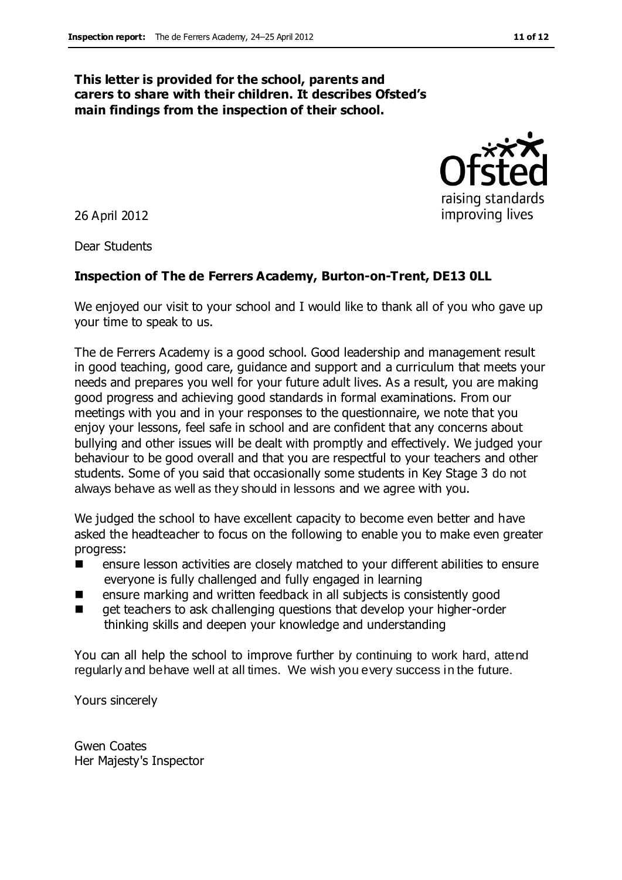#### **This letter is provided for the school, parents and carers to share with their children. It describes Ofsted's main findings from the inspection of their school.**

26 April 2012

Dear Students

#### **Inspection of The de Ferrers Academy, Burton-on-Trent, DE13 0LL**

We enjoyed our visit to your school and I would like to thank all of you who gave up your time to speak to us.

The de Ferrers Academy is a good school. Good leadership and management result in good teaching, good care, guidance and support and a curriculum that meets your needs and prepares you well for your future adult lives. As a result, you are making good progress and achieving good standards in formal examinations. From our meetings with you and in your responses to the questionnaire, we note that you enjoy your lessons, feel safe in school and are confident that any concerns about bullying and other issues will be dealt with promptly and effectively. We judged your behaviour to be good overall and that you are respectful to your teachers and other students. Some of you said that occasionally some students in Key Stage 3 do not always behave as well as they should in lessons and we agree with you.

We judged the school to have excellent capacity to become even better and have asked the headteacher to focus on the following to enable you to make even greater progress:

- ensure lesson activities are closely matched to your different abilities to ensure everyone is fully challenged and fully engaged in learning
- ensure marking and written feedback in all subjects is consistently good
- get teachers to ask challenging questions that develop your higher-order thinking skills and deepen your knowledge and understanding

You can all help the school to improve further by continuing to work hard, attend regularly and behave well at all times. We wish you every success in the future.

Yours sincerely

Gwen Coates Her Majesty's Inspector